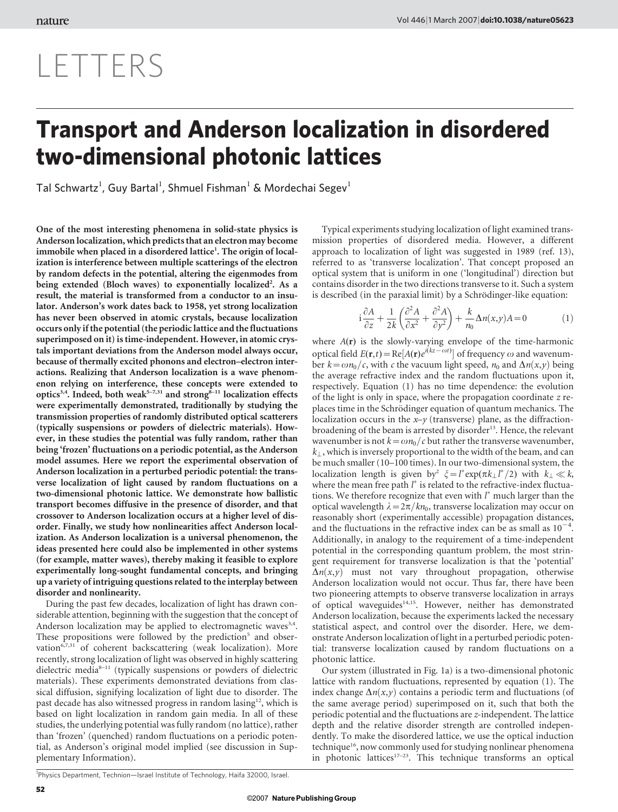## LETTERS

## Transport and Anderson localization in disordered two-dimensional photonic lattices

Tal Schwartz<sup>1</sup>, Guy Bartal<sup>1</sup>, Shmuel Fishman<sup>1</sup> & Mordechai Segev<sup>1</sup>

One of the most interesting phenomena in solid-state physics is Anderson localization, which predicts that an electron may become immobile when placed in a disordered lattice<sup>1</sup>. The origin of localization is interference between multiple scatterings of the electron by random defects in the potential, altering the eigenmodes from being extended (Bloch waves) to exponentially localized<sup>2</sup>. As a result, the material is transformed from a conductor to an insulator. Anderson's work dates back to 1958, yet strong localization has never been observed in atomic crystals, because localization occurs only if the potential (the periodic lattice and the fluctuations superimposed on it) is time-independent. However, in atomic crystals important deviations from the Anderson model always occur, because of thermally excited phonons and electron–electron interactions. Realizing that Anderson localization is a wave phenomenon relying on interference, these concepts were extended to optics<sup>3,4</sup>. Indeed, both weak<sup>5-7,31</sup> and strong<sup>8-11</sup> localization effects were experimentally demonstrated, traditionally by studying the transmission properties of randomly distributed optical scatterers (typically suspensions or powders of dielectric materials). However, in these studies the potential was fully random, rather than being 'frozen' fluctuations on a periodic potential, as the Anderson model assumes. Here we report the experimental observation of Anderson localization in a perturbed periodic potential: the transverse localization of light caused by random fluctuations on a two-dimensional photonic lattice. We demonstrate how ballistic transport becomes diffusive in the presence of disorder, and that crossover to Anderson localization occurs at a higher level of disorder. Finally, we study how nonlinearities affect Anderson localization. As Anderson localization is a universal phenomenon, the ideas presented here could also be implemented in other systems (for example, matter waves), thereby making it feasible to explore experimentally long-sought fundamental concepts, and bringing up a variety of intriguing questions related to the interplay between disorder and nonlinearity.

During the past few decades, localization of light has drawn considerable attention, beginning with the suggestion that the concept of Anderson localization may be applied to electromagnetic waves $3,4$ . These propositions were followed by the prediction<sup>5</sup> and observation<sup>6,7,31</sup> of coherent backscattering (weak localization). More recently, strong localization of light was observed in highly scattering dielectric media<sup>8-11</sup> (typically suspensions or powders of dielectric materials). These experiments demonstrated deviations from classical diffusion, signifying localization of light due to disorder. The past decade has also witnessed progress in random lasing<sup>12</sup>, which is based on light localization in random gain media. In all of these studies, the underlying potential was fully random (no lattice), rather than 'frozen' (quenched) random fluctuations on a periodic potential, as Anderson's original model implied (see discussion in Supplementary Information).

Typical experiments studying localization of light examined transmission properties of disordered media. However, a different approach to localization of light was suggested in 1989 (ref. 13), referred to as 'transverse localization'. That concept proposed an optical system that is uniform in one ('longitudinal') direction but contains disorder in the two directions transverse to it. Such a system is described (in the paraxial limit) by a Schrödinger-like equation:

$$
i\frac{\partial A}{\partial z} + \frac{1}{2k} \left( \frac{\partial^2 A}{\partial x^2} + \frac{\partial^2 A}{\partial y^2} \right) + \frac{k}{n_0} \Delta n(x, y) A = 0
$$
 (1)

where  $A(r)$  is the slowly-varying envelope of the time-harmonic optical field  $E(\mathbf{r},t) = \text{Re}[A(\mathbf{r})e^{i(kz - \omega t)}]$  of frequency  $\omega$  and wavenumber  $k = \omega n_0/c$ , with c the vacuum light speed,  $n_0$  and  $\Delta n(x, y)$  being the average refractive index and the random fluctuations upon it, respectively. Equation (1) has no time dependence: the evolution of the light is only in space, where the propagation coordinate z replaces time in the Schrödinger equation of quantum mechanics. The localization occurs in the  $x-y$  (transverse) plane, as the diffractionbroadening of the beam is arrested by disorder<sup>13</sup>. Hence, the relevant wavenumber is not  $k=\omega n_0/c$  but rather the transverse wavenumber,  $k_{\perp}$ , which is inversely proportional to the width of the beam, and can be much smaller (10–100 times). In our two-dimensional system, the localization length is given by<sup>2</sup>  $\xi = l^* \exp(\pi k_\perp l^*/2)$  with  $k_\perp \ll k$ , where the mean free path  $l^*$  is related to the refractive-index fluctuations. We therefore recognize that even with  $l^*$  much larger than the optical wavelength  $\lambda = 2\pi/kn_0$ , transverse localization may occur on reasonably short (experimentally accessible) propagation distances, and the fluctuations in the refractive index can be as small as  $10^{-4}$ . Additionally, in analogy to the requirement of a time-independent potential in the corresponding quantum problem, the most stringent requirement for transverse localization is that the 'potential'  $\Delta n(x,y)$  must not vary throughout propagation, otherwise Anderson localization would not occur. Thus far, there have been two pioneering attempts to observe transverse localization in arrays of optical waveguides<sup>14,15</sup>. However, neither has demonstrated Anderson localization, because the experiments lacked the necessary statistical aspect, and control over the disorder. Here, we demonstrate Anderson localization of light in a perturbed periodic potential: transverse localization caused by random fluctuations on a photonic lattice.

Our system (illustrated in Fig. 1a) is a two-dimensional photonic lattice with random fluctuations, represented by equation (1). The index change  $\Delta n(x, y)$  contains a periodic term and fluctuations (of the same average period) superimposed on it, such that both the periodic potential and the fluctuations are z-independent. The lattice depth and the relative disorder strength are controlled independently. To make the disordered lattice, we use the optical induction technique<sup>16</sup>, now commonly used for studying nonlinear phenomena in photonic lattices<sup>17-23</sup>. This technique transforms an optical

<sup>1</sup>Physics Department, Technion—Israel Institute of Technology, Haifa 32000, Israel.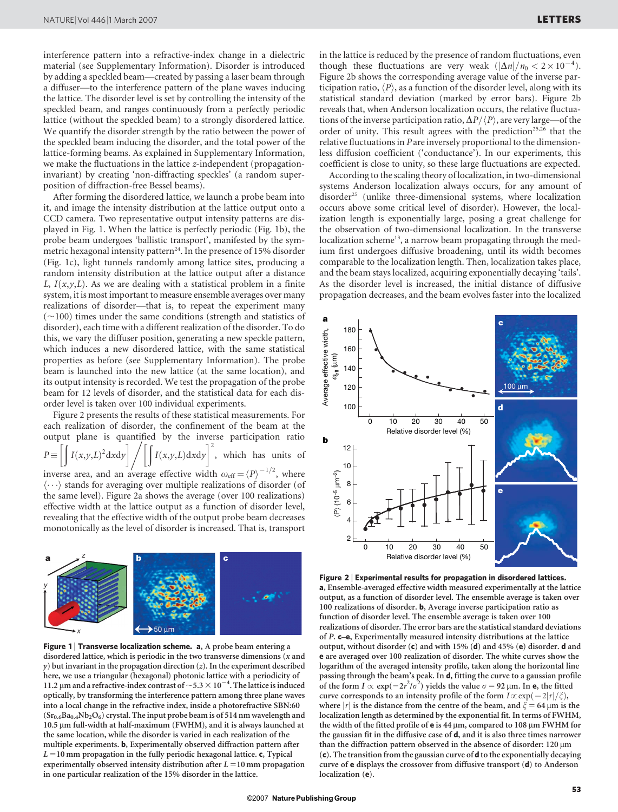interference pattern into a refractive-index change in a dielectric material (see Supplementary Information). Disorder is introduced by adding a speckled beam—created by passing a laser beam through a diffuser—to the interference pattern of the plane waves inducing the lattice. The disorder level is set by controlling the intensity of the speckled beam, and ranges continuously from a perfectly periodic lattice (without the speckled beam) to a strongly disordered lattice. We quantify the disorder strength by the ratio between the power of the speckled beam inducing the disorder, and the total power of the lattice-forming beams. As explained in Supplementary Information, we make the fluctuations in the lattice z-independent (propagationinvariant) by creating 'non-diffracting speckles' (a random superposition of diffraction-free Bessel beams).

After forming the disordered lattice, we launch a probe beam into it, and image the intensity distribution at the lattice output onto a CCD camera. Two representative output intensity patterns are displayed in Fig. 1. When the lattice is perfectly periodic (Fig. 1b), the probe beam undergoes 'ballistic transport', manifested by the symmetric hexagonal intensity pattern<sup>24</sup>. In the presence of 15% disorder (Fig. 1c), light tunnels randomly among lattice sites, producing a random intensity distribution at the lattice output after a distance L,  $I(x,y,L)$ . As we are dealing with a statistical problem in a finite system, it is most important to measure ensemble averages over many realizations of disorder—that is, to repeat the experiment many  $(\sim100)$  times under the same conditions (strength and statistics of disorder), each time with a different realization of the disorder. To do this, we vary the diffuser position, generating a new speckle pattern, which induces a new disordered lattice, with the same statistical properties as before (see Supplementary Information). The probe beam is launched into the new lattice (at the same location), and its output intensity is recorded. We test the propagation of the probe beam for 12 levels of disorder, and the statistical data for each disorder level is taken over 100 individual experiments.

Figure 2 presents the results of these statistical measurements. For each realization of disorder, the confinement of the beam at the output plane is quantified by the inverse participation ratio  $P \equiv$ ð  $I(x,y,L)^2 dx dy$ out plane is quantified<br>Tr  $I(x,y,L) \, dx \, dy$  $\begin{bmatrix} 1 & 2 \end{bmatrix}$ , which has units of inverse area, and an average effective width  $\omega_{\text{eff}} = \langle P \rangle^{-1/2}$ , where  $\langle \cdots \rangle$  stands for averaging over multiple realizations of disorder (of the same level). Figure 2a shows the average (over 100 realizations) effective width at the lattice output as a function of disorder level, revealing that the effective width of the output probe beam decreases monotonically as the level of disorder is increased. That is, transport



Figure 1 | Transverse localization scheme. a, A probe beam entering a disordered lattice, which is periodic in the two transverse dimensions  $(x$  and  $y$ ) but invariant in the propagation direction  $(z)$ . In the experiment described here, we use a triangular (hexagonal) photonic lattice with a periodicity of 11.2 µm and a refractive-index contrast of  $\sim$  5.3  $\times$  10<sup>-4</sup>. The lattice is induced optically, by transforming the interference pattern among three plane waves into a local change in the refractive index, inside a photorefractive SBN:60  $(Sr_{0.6}Ba_{0.4}Nb_2O_6)$  crystal. The input probe beam is of 514 nm wavelength and 10.5 µm full-width at half-maximum (FWHM), and it is always launched at the same location, while the disorder is varied in each realization of the multiple experiments. b, Experimentally observed diffraction pattern after  $L = 10$  mm propagation in the fully periodic hexagonal lattice. c, Typical experimentally observed intensity distribution after  $L = 10$  mm propagation in one particular realization of the 15% disorder in the lattice.

in the lattice is reduced by the presence of random fluctuations, even though these fluctuations are very weak  $(|\Delta n|/n_0 < 2 \times 10^{-4})$ . Figure 2b shows the corresponding average value of the inverse participation ratio,  $\langle P \rangle$ , as a function of the disorder level, along with its statistical standard deviation (marked by error bars). Figure 2b reveals that, when Anderson localization occurs, the relative fluctuations of the inverse participation ratio,  $\Delta P/\langle P \rangle$ , are very large—of the order of unity. This result agrees with the prediction<sup>25,26</sup> that the relative fluctuations in P are inversely proportional to the dimensionless diffusion coefficient ('conductance'). In our experiments, this coefficient is close to unity, so these large fluctuations are expected.

According to the scaling theory of localization, in two-dimensional systems Anderson localization always occurs, for any amount of disorder<sup>25</sup> (unlike three-dimensional systems, where localization occurs above some critical level of disorder). However, the localization length is exponentially large, posing a great challenge for the observation of two-dimensional localization. In the transverse localization scheme<sup>13</sup>, a narrow beam propagating through the medium first undergoes diffusive broadening, until its width becomes comparable to the localization length. Then, localization takes place, and the beam stays localized, acquiring exponentially decaying 'tails'. As the disorder level is increased, the initial distance of diffusive propagation decreases, and the beam evolves faster into the localized



Figure 2 <sup>|</sup> Experimental results for propagation in disordered lattices. a, Ensemble-averaged effective width measured experimentally at the lattice output, as a function of disorder level. The ensemble average is taken over 100 realizations of disorder. b, Average inverse participation ratio as function of disorder level. The ensemble average is taken over 100 realizations of disorder. The error bars are the statistical standard deviations of P. c–e, Experimentally measured intensity distributions at the lattice output, without disorder (c) and with 15% (d) and 45% (e) disorder. d and e are averaged over 100 realization of disorder. The white curves show the logarithm of the averaged intensity profile, taken along the horizontal line passing through the beam's peak. In d, fitting the curve to a gaussian profile of the form  $I \propto \exp(-2r^2/\sigma^2)$  yields the value  $\sigma = 92 \mu m$ . In e, the fitted curve corresponds to an intensity profile of the form  $I \propto \exp(-2|r|/\xi)$ , where  $|r|$  is the distance from the centre of the beam, and  $\xi = 64 \mu m$  is the localization length as determined by the exponential fit. In terms of FWHM, the width of the fitted profile of  $e$  is 44  $\mu$ m, compared to 108  $\mu$ m FWHM for the gaussian fit in the diffusive case of d, and it is also three times narrower than the diffraction pattern observed in the absence of disorder:  $120 \,\mathrm{\upmu m}$ (c). The transition from the gaussian curve of d to the exponentially decaying curve of e displays the crossover from diffusive transport (d) to Anderson localization (e).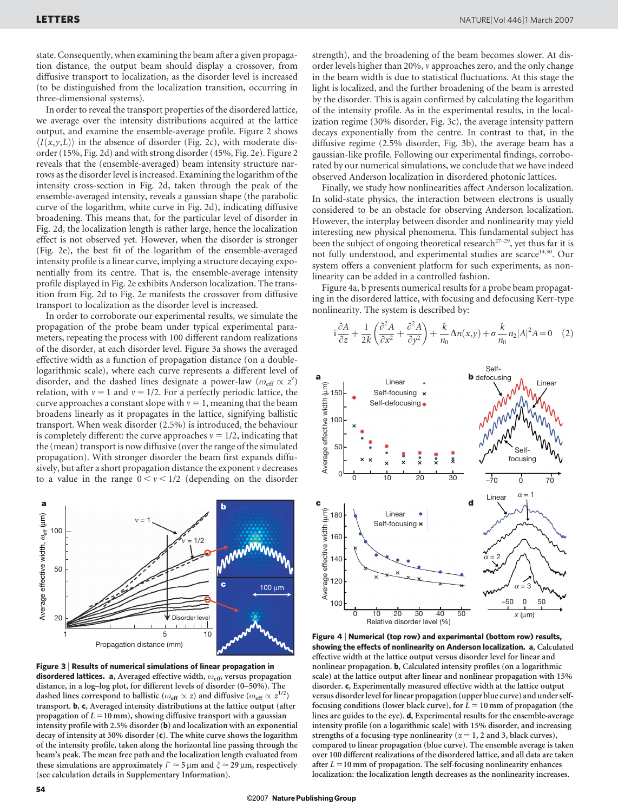state. Consequently, when examining the beam after a given propagation distance, the output beam should display a crossover, from diffusive transport to localization, as the disorder level is increased (to be distinguished from the localization transition, occurring in three-dimensional systems).

In order to reveal the transport properties of the disordered lattice, we average over the intensity distributions acquired at the lattice output, and examine the ensemble-average profile. Figure 2 shows  $\langle I(x,y,L) \rangle$  in the absence of disorder (Fig. 2c), with moderate disorder (15%, Fig. 2d) and with strong disorder (45%, Fig. 2e). Figure 2 reveals that the (ensemble-averaged) beam intensity structure narrows as the disorder level is increased. Examining the logarithm of the intensity cross-section in Fig. 2d, taken through the peak of the ensemble-averaged intensity, reveals a gaussian shape (the parabolic curve of the logarithm, white curve in Fig. 2d), indicating diffusive broadening. This means that, for the particular level of disorder in Fig. 2d, the localization length is rather large, hence the localization effect is not observed yet. However, when the disorder is stronger (Fig. 2e), the best fit of the logarithm of the ensemble-averaged intensity profile is a linear curve, implying a structure decaying exponentially from its centre. That is, the ensemble-average intensity profile displayed in Fig. 2e exhibits Anderson localization. The transition from Fig. 2d to Fig. 2e manifests the crossover from diffusive transport to localization as the disorder level is increased.

In order to corroborate our experimental results, we simulate the propagation of the probe beam under typical experimental parameters, repeating the process with 100 different random realizations of the disorder, at each disorder level. Figure 3a shows the averaged effective width as a function of propagation distance (on a doublelogarithmic scale), where each curve represents a different level of disorder, and the dashed lines designate a power-law  $(\omega_{\text{eff}} \propto z^v)$ relation, with  $v = 1$  and  $v = 1/2$ . For a perfectly periodic lattice, the curve approaches a constant slope with  $v = 1$ , meaning that the beam broadens linearly as it propagates in the lattice, signifying ballistic transport. When weak disorder (2.5%) is introduced, the behaviour is completely different: the curve approaches  $v = 1/2$ , indicating that the (mean) transport is now diffusive (over the range of the simulated propagation). With stronger disorder the beam first expands diffusively, but after a short propagation distance the exponent v decreases to a value in the range  $0 < v < 1/2$  (depending on the disorder



Figure 3 <sup>|</sup> Results of numerical simulations of linear propagation in disordered lattices. a, Averaged effective width,  $\omega_{\text{eff}}$ , versus propagation distance, in a log–log plot, for different levels of disorder (0–50%). The dashed lines correspond to ballistic ( $\omega_{\text{eff}} \propto z$ ) and diffusive ( $\omega_{\text{eff}} \propto z^{1/2}$ ) transport. b, c, Averaged intensity distributions at the lattice output (after propagation of  $L = 10$  mm), showing diffusive transport with a gaussian intensity profile with 2.5% disorder (b) and localization with an exponential decay of intensity at 30% disorder (c). The white curve shows the logarithm of the intensity profile, taken along the horizontal line passing through the beam's peak. The mean free path and the localization length evaluated from these simulations are approximately  $l^* \approx 5 \mu$ m and  $\zeta \approx 29 \mu$ m, respectively (see calculation details in Supplementary Information).

strength), and the broadening of the beam becomes slower. At disorder levels higher than 20%, v approaches zero, and the only change in the beam width is due to statistical fluctuations. At this stage the light is localized, and the further broadening of the beam is arrested by the disorder. This is again confirmed by calculating the logarithm of the intensity profile. As in the experimental results, in the localization regime (30% disorder, Fig. 3c), the average intensity pattern decays exponentially from the centre. In contrast to that, in the diffusive regime (2.5% disorder, Fig. 3b), the average beam has a gaussian-like profile. Following our experimental findings, corroborated by our numerical simulations, we conclude that we have indeed observed Anderson localization in disordered photonic lattices.

Finally, we study how nonlinearities affect Anderson localization. In solid-state physics, the interaction between electrons is usually considered to be an obstacle for observing Anderson localization. However, the interplay between disorder and nonlinearity may yield interesting new physical phenomena. This fundamental subject has been the subject of ongoing theoretical research<sup>27-29</sup>, yet thus far it is not fully understood, and experimental studies are scarce<sup>14,30</sup>. Our system offers a convenient platform for such experiments, as nonlinearity can be added in a controlled fashion.

Figure 4a, b presents numerical results for a probe beam propagating in the disordered lattice, with focusing and defocusing Kerr-type nonlinearity. The system is described by:

$$
i\frac{\partial A}{\partial z} + \frac{1}{2k} \left( \frac{\partial^2 A}{\partial x^2} + \frac{\partial^2 A}{\partial y^2} \right) + \frac{k}{n_0} \Delta n(x, y) + \sigma \frac{k}{n_0} n_2 |A|^2 A = 0 \quad (2)
$$



Figure 4 <sup>|</sup> Numerical (top row) and experimental (bottom row) results, showing the effects of nonlinearity on Anderson localization. a, Calculated effective width at the lattice output versus disorder level for linear and nonlinear propagation. b, Calculated intensity profiles (on a logarithmic scale) at the lattice output after linear and nonlinear propagation with 15% disorder. c, Experimentally measured effective width at the lattice output versus disorder level for linear propagation (upper blue curve) and under selffocusing conditions (lower black curve), for  $L = 10$  mm of propagation (the lines are guides to the eye). d, Experimental results for the ensemble-average intensity profile (on a logarithmic scale) with 15% disorder, and increasing strengths of a focusing-type nonlinearity ( $\alpha = 1$ , 2 and 3, black curves), compared to linear propagation (blue curve). The ensemble average is taken over 100 different realizations of the disordered lattice, and all data are taken after  $L = 10$  mm of propagation. The self-focusing nonlinearity enhances localization: the localization length decreases as the nonlinearity increases.